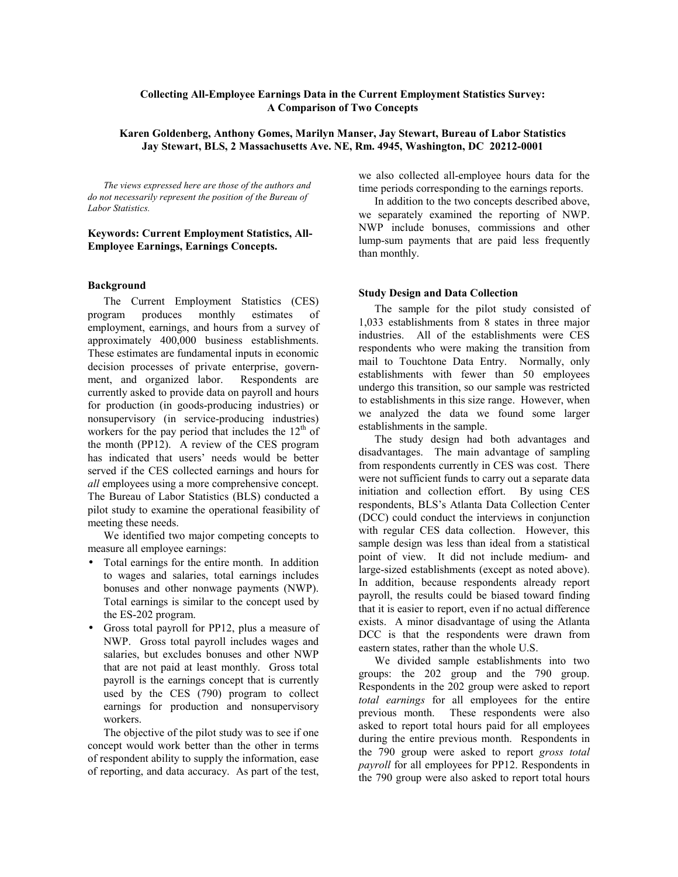## **Collecting All-Employee Earnings Data in the Current Employment Statistics Survey: A Comparison of Two Concepts**

## **Karen Goldenberg, Anthony Gomes, Marilyn Manser, Jay Stewart, Bureau of Labor Statistics Jay Stewart, BLS, 2 Massachusetts Ave. NE, Rm. 4945, Washington, DC 20212-0001**

*The views expressed here are those of the authors and do not necessarily represent the position of the Bureau of Labor Statistics.*

## **Keywords: Current Employment Statistics, All-Employee Earnings, Earnings Concepts.**

#### **Background**

The Current Employment Statistics (CES) program produces monthly estimates of employment, earnings, and hours from a survey of approximately 400,000 business establishments. These estimates are fundamental inputs in economic decision processes of private enterprise, government, and organized labor. Respondents are currently asked to provide data on payroll and hours for production (in goods-producing industries) or nonsupervisory (in service-producing industries) workers for the pay period that includes the  $12<sup>th</sup>$  of the month (PP12). A review of the CES program has indicated that users' needs would be better served if the CES collected earnings and hours for *all* employees using a more comprehensive concept. The Bureau of Labor Statistics (BLS) conducted a pilot study to examine the operational feasibility of meeting these needs.

We identified two major competing concepts to measure all employee earnings:

- Total earnings for the entire month. In addition to wages and salaries, total earnings includes bonuses and other nonwage payments (NWP). Total earnings is similar to the concept used by the ES-202 program.
- Gross total payroll for PP12, plus a measure of NWP. Gross total payroll includes wages and salaries, but excludes bonuses and other NWP that are not paid at least monthly. Gross total payroll is the earnings concept that is currently used by the CES (790) program to collect earnings for production and nonsupervisory workers.

The objective of the pilot study was to see if one concept would work better than the other in terms of respondent ability to supply the information, ease of reporting, and data accuracy. As part of the test, we also collected all-employee hours data for the time periods corresponding to the earnings reports.

In addition to the two concepts described above, we separately examined the reporting of NWP. NWP include bonuses, commissions and other lump-sum payments that are paid less frequently than monthly.

## **Study Design and Data Collection**

The sample for the pilot study consisted of 1,033 establishments from 8 states in three major industries. All of the establishments were CES respondents who were making the transition from mail to Touchtone Data Entry. Normally, only establishments with fewer than 50 employees undergo this transition, so our sample was restricted to establishments in this size range. However, when we analyzed the data we found some larger establishments in the sample.

The study design had both advantages and disadvantages. The main advantage of sampling from respondents currently in CES was cost. There were not sufficient funds to carry out a separate data initiation and collection effort. By using CES respondents, BLS's Atlanta Data Collection Center (DCC) could conduct the interviews in conjunction with regular CES data collection. However, this sample design was less than ideal from a statistical point of view. It did not include medium- and large-sized establishments (except as noted above). In addition, because respondents already report payroll, the results could be biased toward finding that it is easier to report, even if no actual difference exists. A minor disadvantage of using the Atlanta DCC is that the respondents were drawn from eastern states, rather than the whole U.S.

We divided sample establishments into two groups: the 202 group and the 790 group. Respondents in the 202 group were asked to report *total earnings* for all employees for the entire previous month. These respondents were also asked to report total hours paid for all employees during the entire previous month. Respondents in the 790 group were asked to report *gross total payroll* for all employees for PP12. Respondents in the 790 group were also asked to report total hours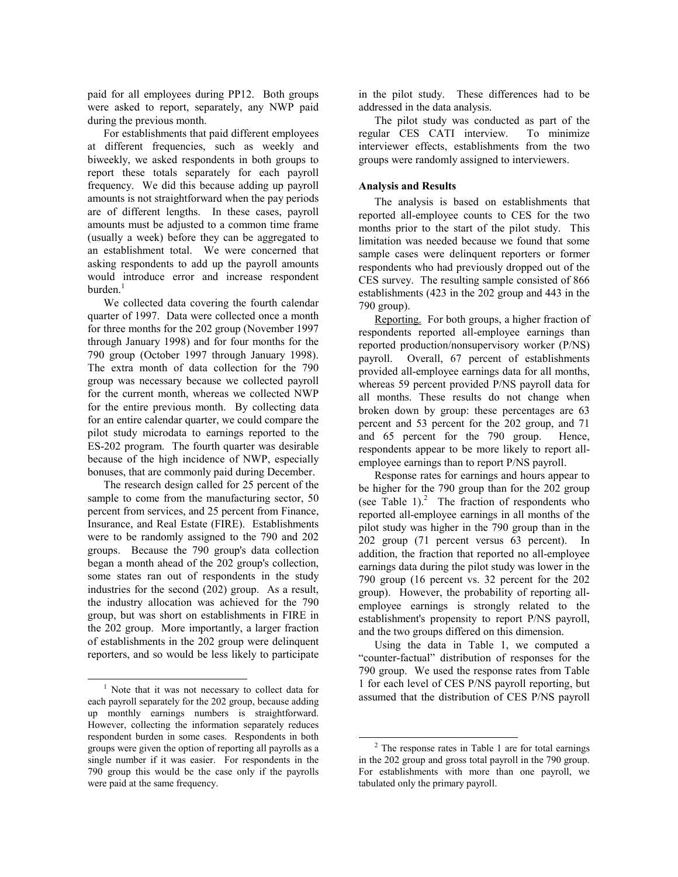paid for all employees during PP12. Both groups were asked to report, separately, any NWP paid during the previous month.

For establishments that paid different employees at different frequencies, such as weekly and biweekly, we asked respondents in both groups to report these totals separately for each payroll frequency. We did this because adding up payroll amounts is not straightforward when the pay periods are of different lengths. In these cases, payroll amounts must be adjusted to a common time frame (usually a week) before they can be aggregated to an establishment total. We were concerned that asking respondents to add up the payroll amounts would introduce error and increase respondent  $burden<sup>1</sup>$ 

We collected data covering the fourth calendar quarter of 1997. Data were collected once a month for three months for the 202 group (November 1997 through January 1998) and for four months for the 790 group (October 1997 through January 1998). The extra month of data collection for the 790 group was necessary because we collected payroll for the current month, whereas we collected NWP for the entire previous month. By collecting data for an entire calendar quarter, we could compare the pilot study microdata to earnings reported to the ES-202 program. The fourth quarter was desirable because of the high incidence of NWP, especially bonuses, that are commonly paid during December.

The research design called for 25 percent of the sample to come from the manufacturing sector, 50 percent from services, and 25 percent from Finance, Insurance, and Real Estate (FIRE). Establishments were to be randomly assigned to the 790 and 202 groups. Because the 790 group's data collection began a month ahead of the 202 group's collection, some states ran out of respondents in the study industries for the second (202) group. As a result, the industry allocation was achieved for the 790 group, but was short on establishments in FIRE in the 202 group. More importantly, a larger fraction of establishments in the 202 group were delinquent reporters, and so would be less likely to participate in the pilot study. These differences had to be addressed in the data analysis.

The pilot study was conducted as part of the regular CES CATI interview. To minimize interviewer effects, establishments from the two groups were randomly assigned to interviewers.

#### **Analysis and Results**

The analysis is based on establishments that reported all-employee counts to CES for the two months prior to the start of the pilot study. This limitation was needed because we found that some sample cases were delinquent reporters or former respondents who had previously dropped out of the CES survey. The resulting sample consisted of 866 establishments (423 in the 202 group and 443 in the 790 group).

Reporting. For both groups, a higher fraction of respondents reported all-employee earnings than reported production/nonsupervisory worker (P/NS) payroll. Overall, 67 percent of establishments provided all-employee earnings data for all months, whereas 59 percent provided P/NS payroll data for all months. These results do not change when broken down by group: these percentages are 63 percent and 53 percent for the 202 group, and 71 and 65 percent for the 790 group. Hence, respondents appear to be more likely to report allemployee earnings than to report P/NS payroll.

Response rates for earnings and hours appear to be higher for the 790 group than for the 202 group (see Table 1). $^{2}$  The fraction of respondents who reported all-employee earnings in all months of the pilot study was higher in the 790 group than in the 202 group (71 percent versus 63 percent). In addition, the fraction that reported no all-employee earnings data during the pilot study was lower in the 790 group (16 percent vs. 32 percent for the 202 group). However, the probability of reporting allemployee earnings is strongly related to the establishment's propensity to report P/NS payroll, and the two groups differed on this dimension.

Using the data in Table 1, we computed a "counter-factual" distribution of responses for the 790 group. We used the response rates from Table 1 for each level of CES P/NS payroll reporting, but assumed that the distribution of CES P/NS payroll

 $\frac{1}{1}$  $1$  Note that it was not necessary to collect data for each payroll separately for the 202 group, because adding up monthly earnings numbers is straightforward. However, collecting the information separately reduces respondent burden in some cases. Respondents in both groups were given the option of reporting all payrolls as a single number if it was easier. For respondents in the 790 group this would be the case only if the payrolls were paid at the same frequency.

<sup>&</sup>lt;sup>2</sup> The response rates in Table 1 are for total earnings in the 202 group and gross total payroll in the 790 group. For establishments with more than one payroll, we tabulated only the primary payroll.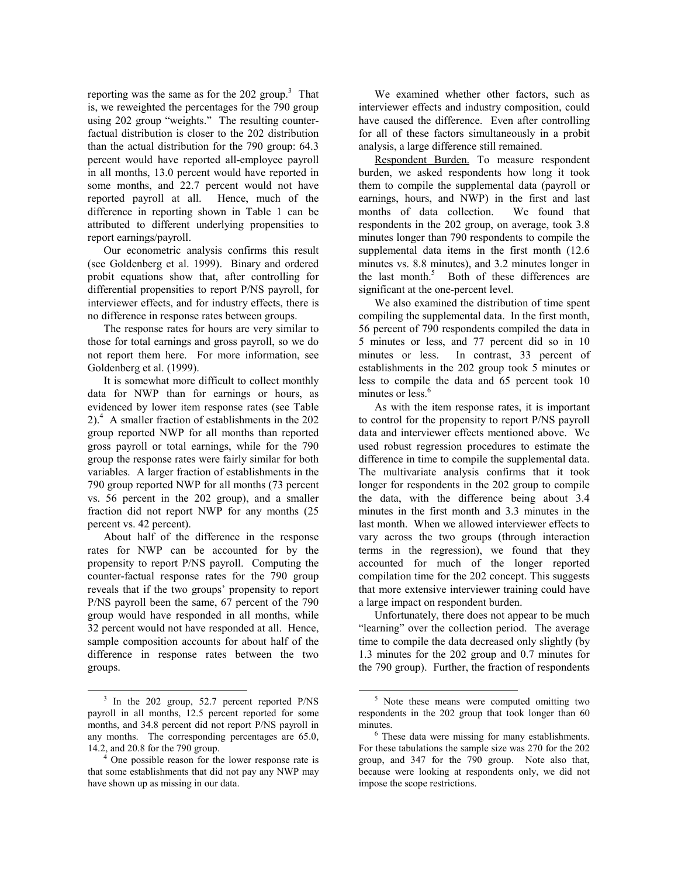reporting was the same as for the  $202$  group.<sup>3</sup> That is, we reweighted the percentages for the 790 group using 202 group "weights." The resulting counterfactual distribution is closer to the 202 distribution than the actual distribution for the 790 group: 64.3 percent would have reported all-employee payroll in all months, 13.0 percent would have reported in some months, and 22.7 percent would not have reported payroll at all. Hence, much of the difference in reporting shown in Table 1 can be attributed to different underlying propensities to report earnings/payroll.

Our econometric analysis confirms this result (see Goldenberg et al. 1999). Binary and ordered probit equations show that, after controlling for differential propensities to report P/NS payroll, for interviewer effects, and for industry effects, there is no difference in response rates between groups.

The response rates for hours are very similar to those for total earnings and gross payroll, so we do not report them here. For more information, see Goldenberg et al. (1999).

It is somewhat more difficult to collect monthly data for NWP than for earnings or hours, as evidenced by lower item response rates (see Table 2).<sup>4</sup> A smaller fraction of establishments in the 202 group reported NWP for all months than reported gross payroll or total earnings, while for the 790 group the response rates were fairly similar for both variables. A larger fraction of establishments in the 790 group reported NWP for all months (73 percent vs. 56 percent in the 202 group), and a smaller fraction did not report NWP for any months (25 percent vs. 42 percent).

About half of the difference in the response rates for NWP can be accounted for by the propensity to report P/NS payroll. Computing the counter-factual response rates for the 790 group reveals that if the two groups' propensity to report P/NS payroll been the same, 67 percent of the 790 group would have responded in all months, while 32 percent would not have responded at all. Hence, sample composition accounts for about half of the difference in response rates between the two groups.

We examined whether other factors, such as interviewer effects and industry composition, could have caused the difference. Even after controlling for all of these factors simultaneously in a probit analysis, a large difference still remained.

Respondent Burden. To measure respondent burden, we asked respondents how long it took them to compile the supplemental data (payroll or earnings, hours, and NWP) in the first and last months of data collection. We found that respondents in the 202 group, on average, took 3.8 minutes longer than 790 respondents to compile the supplemental data items in the first month (12.6 minutes vs. 8.8 minutes), and 3.2 minutes longer in the last month.<sup>5</sup> Both of these differences are significant at the one-percent level.

We also examined the distribution of time spent compiling the supplemental data. In the first month, 56 percent of 790 respondents compiled the data in 5 minutes or less, and 77 percent did so in 10 minutes or less. In contrast, 33 percent of establishments in the 202 group took 5 minutes or less to compile the data and 65 percent took 10 minutes or less.<sup>6</sup>

As with the item response rates, it is important to control for the propensity to report P/NS payroll data and interviewer effects mentioned above. We used robust regression procedures to estimate the difference in time to compile the supplemental data. The multivariate analysis confirms that it took longer for respondents in the 202 group to compile the data, with the difference being about 3.4 minutes in the first month and 3.3 minutes in the last month. When we allowed interviewer effects to vary across the two groups (through interaction terms in the regression), we found that they accounted for much of the longer reported compilation time for the 202 concept. This suggests that more extensive interviewer training could have a large impact on respondent burden.

Unfortunately, there does not appear to be much "learning" over the collection period. The average time to compile the data decreased only slightly (by 1.3 minutes for the 202 group and 0.7 minutes for the 790 group). Further, the fraction of respondents

<sup>&</sup>lt;sup>3</sup> In the 202 group, 52.7 percent reported P/NS payroll in all months, 12.5 percent reported for some months, and 34.8 percent did not report P/NS payroll in any months. The corresponding percentages are 65.0, 14.2, and 20.8 for the 790 group. 4

 $\frac{4}{1}$  One possible reason for the lower response rate is that some establishments that did not pay any NWP may have shown up as missing in our data.

 <sup>5</sup> Note these means were computed omitting two respondents in the 202 group that took longer than 60 minutes.

 $6$  These data were missing for many establishments. For these tabulations the sample size was 270 for the 202 group, and 347 for the 790 group. Note also that, because were looking at respondents only, we did not impose the scope restrictions.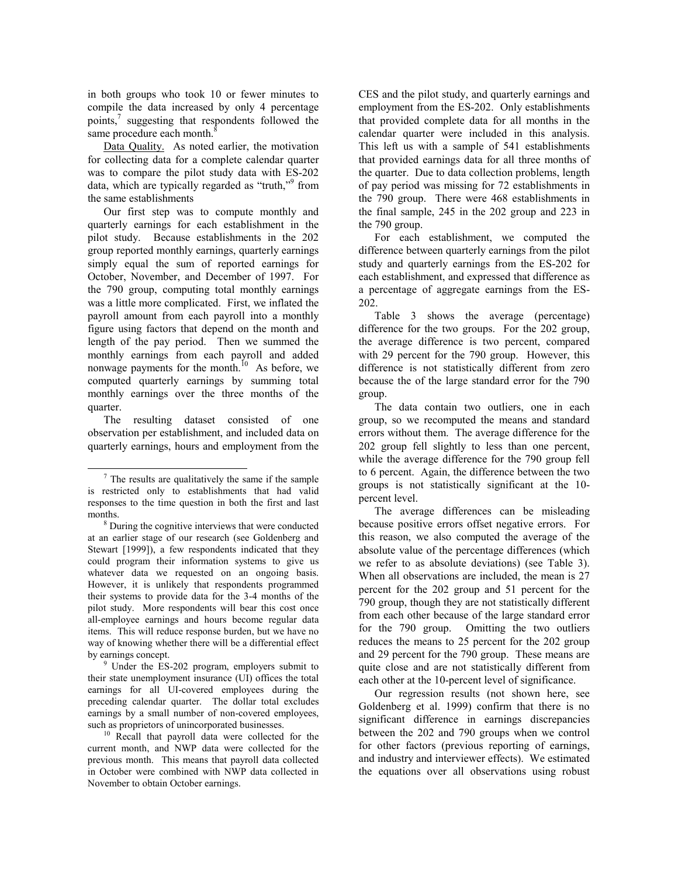in both groups who took 10 or fewer minutes to compile the data increased by only 4 percentage points,<sup>7</sup> suggesting that respondents followed the same procedure each month. $8$ 

Data Quality. As noted earlier, the motivation for collecting data for a complete calendar quarter was to compare the pilot study data with ES-202 data, which are typically regarded as "truth,"<sup>9</sup> from the same establishments

Our first step was to compute monthly and quarterly earnings for each establishment in the pilot study. Because establishments in the 202 group reported monthly earnings, quarterly earnings simply equal the sum of reported earnings for October, November, and December of 1997. For the 790 group, computing total monthly earnings was a little more complicated. First, we inflated the payroll amount from each payroll into a monthly figure using factors that depend on the month and length of the pay period. Then we summed the monthly earnings from each payroll and added nonwage payments for the month.<sup>10</sup> As before, we computed quarterly earnings by summing total monthly earnings over the three months of the quarter.

The resulting dataset consisted of one observation per establishment, and included data on quarterly earnings, hours and employment from the

 Under the ES-202 program, employers submit to their state unemployment insurance (UI) offices the total earnings for all UI-covered employees during the preceding calendar quarter. The dollar total excludes earnings by a small number of non-covered employees,

such as proprietors of unincorporated businesses.<br><sup>10</sup> Recall that payroll data were collected for the current month, and NWP data were collected for the previous month. This means that payroll data collected in October were combined with NWP data collected in November to obtain October earnings.

CES and the pilot study, and quarterly earnings and employment from the ES-202. Only establishments that provided complete data for all months in the calendar quarter were included in this analysis. This left us with a sample of 541 establishments that provided earnings data for all three months of the quarter. Due to data collection problems, length of pay period was missing for 72 establishments in the 790 group. There were 468 establishments in the final sample, 245 in the 202 group and 223 in the 790 group.

For each establishment, we computed the difference between quarterly earnings from the pilot study and quarterly earnings from the ES-202 for each establishment, and expressed that difference as a percentage of aggregate earnings from the ES-202.

Table 3 shows the average (percentage) difference for the two groups. For the 202 group, the average difference is two percent, compared with 29 percent for the 790 group. However, this difference is not statistically different from zero because the of the large standard error for the 790 group.

The data contain two outliers, one in each group, so we recomputed the means and standard errors without them. The average difference for the 202 group fell slightly to less than one percent, while the average difference for the 790 group fell to 6 percent. Again, the difference between the two groups is not statistically significant at the 10 percent level.

The average differences can be misleading because positive errors offset negative errors. For this reason, we also computed the average of the absolute value of the percentage differences (which we refer to as absolute deviations) (see Table 3). When all observations are included, the mean is 27 percent for the 202 group and 51 percent for the 790 group, though they are not statistically different from each other because of the large standard error for the 790 group. Omitting the two outliers reduces the means to 25 percent for the 202 group and 29 percent for the 790 group. These means are quite close and are not statistically different from each other at the 10-percent level of significance.

Our regression results (not shown here, see Goldenberg et al. 1999) confirm that there is no significant difference in earnings discrepancies between the 202 and 790 groups when we control for other factors (previous reporting of earnings, and industry and interviewer effects). We estimated the equations over all observations using robust

 $\frac{1}{7}$  $\frac{7}{7}$  The results are qualitatively the same if the sample is restricted only to establishments that had valid responses to the time question in both the first and last months.

<sup>&</sup>lt;sup>8</sup> During the cognitive interviews that were conducted at an earlier stage of our research (see Goldenberg and Stewart [1999]), a few respondents indicated that they could program their information systems to give us whatever data we requested on an ongoing basis. However, it is unlikely that respondents programmed their systems to provide data for the 3-4 months of the pilot study. More respondents will bear this cost once all-employee earnings and hours become regular data items. This will reduce response burden, but we have no way of knowing whether there will be a differential effect by earnings concept.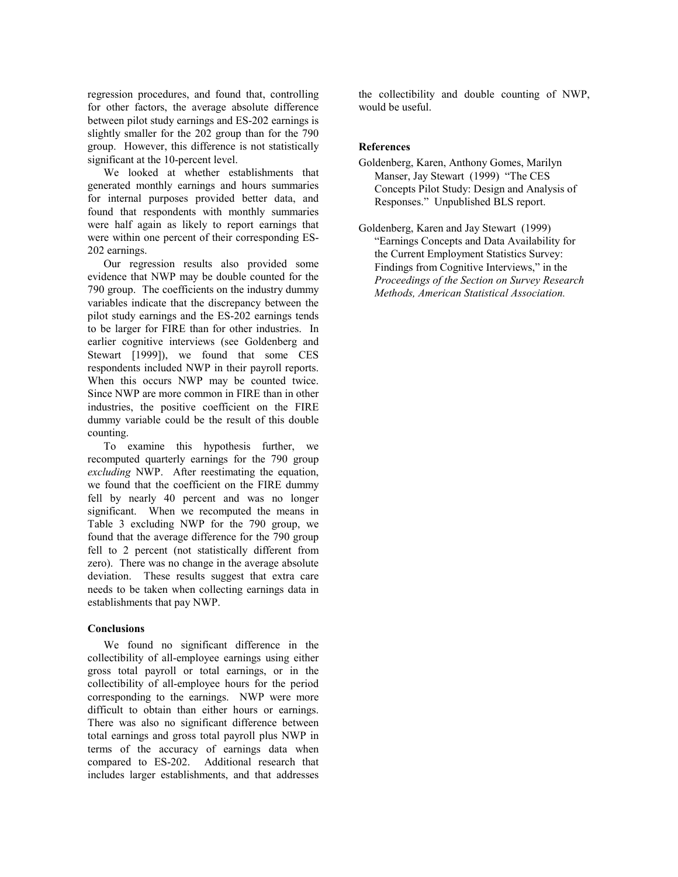regression procedures, and found that, controlling for other factors, the average absolute difference between pilot study earnings and ES-202 earnings is slightly smaller for the 202 group than for the 790 group. However, this difference is not statistically significant at the 10-percent level.

We looked at whether establishments that generated monthly earnings and hours summaries for internal purposes provided better data, and found that respondents with monthly summaries were half again as likely to report earnings that were within one percent of their corresponding ES-202 earnings.

Our regression results also provided some evidence that NWP may be double counted for the 790 group. The coefficients on the industry dummy variables indicate that the discrepancy between the pilot study earnings and the ES-202 earnings tends to be larger for FIRE than for other industries. In earlier cognitive interviews (see Goldenberg and Stewart [1999]), we found that some CES respondents included NWP in their payroll reports. When this occurs NWP may be counted twice. Since NWP are more common in FIRE than in other industries, the positive coefficient on the FIRE dummy variable could be the result of this double counting.

To examine this hypothesis further, we recomputed quarterly earnings for the 790 group *excluding* NWP. After reestimating the equation, we found that the coefficient on the FIRE dummy fell by nearly 40 percent and was no longer significant. When we recomputed the means in Table 3 excluding NWP for the 790 group, we found that the average difference for the 790 group fell to 2 percent (not statistically different from zero). There was no change in the average absolute deviation. These results suggest that extra care needs to be taken when collecting earnings data in establishments that pay NWP.

#### **Conclusions**

We found no significant difference in the collectibility of all-employee earnings using either gross total payroll or total earnings, or in the collectibility of all-employee hours for the period corresponding to the earnings. NWP were more difficult to obtain than either hours or earnings. There was also no significant difference between total earnings and gross total payroll plus NWP in terms of the accuracy of earnings data when compared to ES-202. Additional research that includes larger establishments, and that addresses the collectibility and double counting of NWP, would be useful.

## **References**

- Goldenberg, Karen, Anthony Gomes, Marilyn Manser, Jay Stewart (1999) "The CES Concepts Pilot Study: Design and Analysis of Responses." Unpublished BLS report.
- Goldenberg, Karen and Jay Stewart (1999) "Earnings Concepts and Data Availability for the Current Employment Statistics Survey: Findings from Cognitive Interviews," in the *Proceedings of the Section on Survey Research Methods, American Statistical Association.*